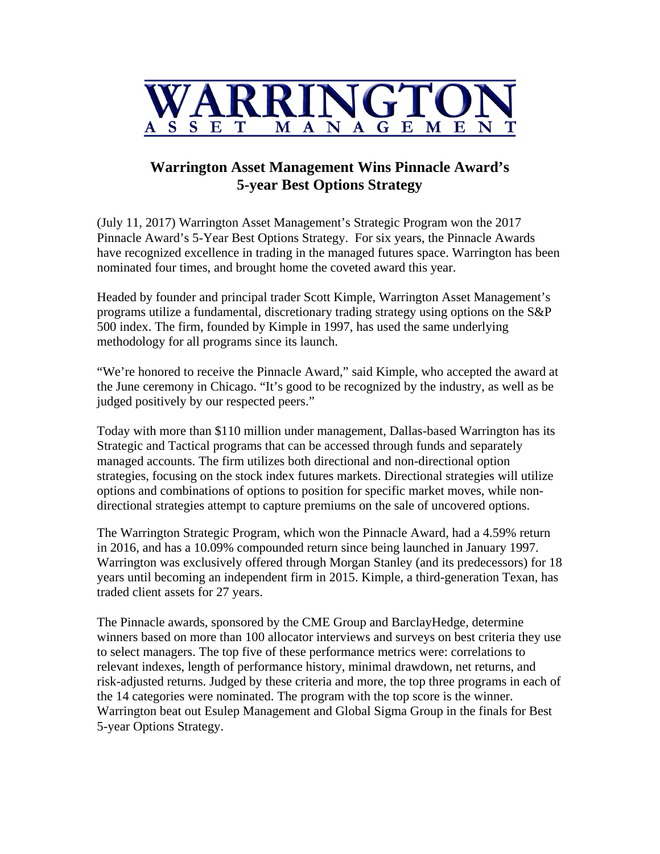

## **Warrington Asset Management Wins Pinnacle Award's 5-year Best Options Strategy**

(July 11, 2017) Warrington Asset Management's Strategic Program won the 2017 Pinnacle Award's 5-Year Best Options Strategy. For six years, the Pinnacle Awards have recognized excellence in trading in the managed futures space. Warrington has been nominated four times, and brought home the coveted award this year.

Headed by founder and principal trader Scott Kimple, Warrington Asset Management's programs utilize a fundamental, discretionary trading strategy using options on the S&P 500 index. The firm, founded by Kimple in 1997, has used the same underlying methodology for all programs since its launch.

"We're honored to receive the Pinnacle Award," said Kimple, who accepted the award at the June ceremony in Chicago. "It's good to be recognized by the industry, as well as be judged positively by our respected peers."

Today with more than \$110 million under management, Dallas-based Warrington has its Strategic and Tactical programs that can be accessed through funds and separately managed accounts. The firm utilizes both directional and non-directional option strategies, focusing on the stock index futures markets. Directional strategies will utilize options and combinations of options to position for specific market moves, while nondirectional strategies attempt to capture premiums on the sale of uncovered options.

The Warrington Strategic Program, which won the Pinnacle Award, had a 4.59% return in 2016, and has a 10.09% compounded return since being launched in January 1997. Warrington was exclusively offered through Morgan Stanley (and its predecessors) for 18 years until becoming an independent firm in 2015. Kimple, a third-generation Texan, has traded client assets for 27 years.

The Pinnacle awards, sponsored by the CME Group and BarclayHedge, determine winners based on more than 100 allocator interviews and surveys on best criteria they use to select managers. The top five of these performance metrics were: correlations to relevant indexes, length of performance history, minimal drawdown, net returns, and risk-adjusted returns. Judged by these criteria and more, the top three programs in each of the 14 categories were nominated. The program with the top score is the winner. Warrington beat out Esulep Management and Global Sigma Group in the finals for Best 5-year Options Strategy.